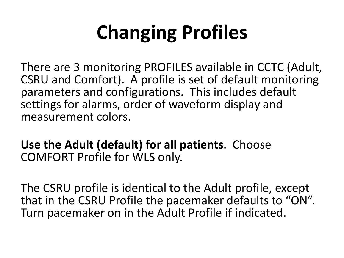# **Changing Profiles**

There are 3 monitoring PROFILES available in CCTC (Adult, CSRU and Comfort). A profile is set of default monitoring parameters and configurations. This includes default settings for alarms, order of waveform display and measurement colors.

**Use the Adult (default) for all patients**. Choose COMFORT Profile for WLS only.

The CSRU profile is identical to the Adult profile, except that in the CSRU Profile the pacemaker defaults to "ON". Turn pacemaker on in the Adult Profile if indicated.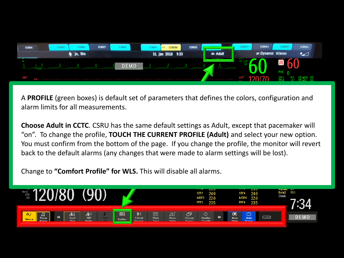

A **PROFILE** (green boxes) is default set of parameters that defines the colors, configuration and alarm limits for all measurements.

**Choose Adult in CCTC**. CSRU has the same default settings as Adult, except that pacemaker will "on". To change the profile, **TOUCH THE CURRENT PROFILE (Adult)** and select your new option. You must confirm from the bottom of the page. If you change the profile, the monitor will revert back to the default alarms (any changes that were made to alarm settings will be lost).

Change to **"Comfort Profile" for WLS.** This will disable all alarms.

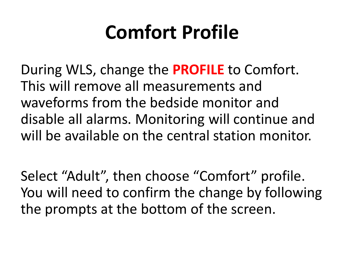#### **Comfort Profile**

During WLS, change the **PROFILE** to Comfort. This will remove all measurements and waveforms from the bedside monitor and disable all alarms. Monitoring will continue and will be available on the central station monitor.

Select "Adult", then choose "Comfort" profile. You will need to confirm the change by following the prompts at the bottom of the screen.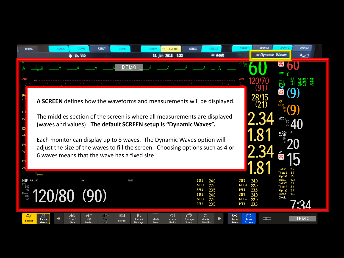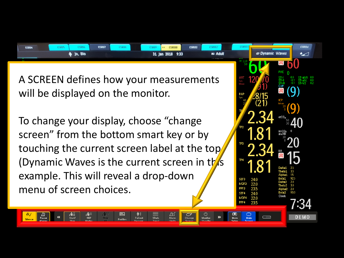| <b>CSRU4</b> | aKU7 | <b>SDILE</b> | <b>CSRU7</b> |  | <b>CSRU10</b><br>$+1$ | <b>CSRU11</b> |  |                                    |                      | <b>CSRU16</b>            |
|--------------|------|--------------|--------------|--|-----------------------|---------------|--|------------------------------------|----------------------|--------------------------|
| Jo, Blo      |      |              |              |  | 31 Jan 2018 9:33      |               |  |                                    | <b>Dynamic Waves</b> | $\overline{\phantom{a}}$ |
|              |      |              |              |  |                       |               |  | <b><i><u>ALCOHOL:</u></i></b><br>. |                      |                          |

⌒ Change 22.0 23 5 24.0

22.0

MDF4

leta9 Clock

A SCREEN defines how your measurements will be displayed on the monitor.

To change your display, choose "change screen" from the bottom smart key or by touching the current screen label at the top (Dynamic Waves is the current screen in this example. This will reveal a drop-down menu of screen choices.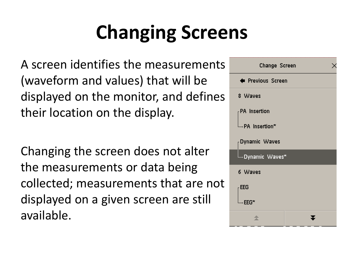# **Changing Screens**

A screen identifies the measurements (waveform and values) that will be displayed on the monitor, and defines their location on the display.

Changing the screen does not alter the measurements or data being collected; measurements that are not displayed on a given screen are still available.

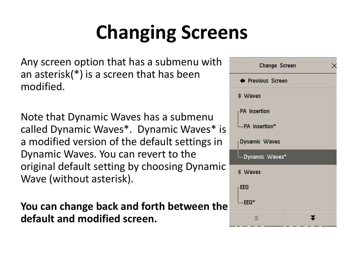# **Changing Screens**

Any screen option that has a submenu with an asterisk(\*) is a screen that has been modified.

Note that Dynamic Waves has a submenu called Dynamic Waves\*. Dynamic Waves\* is a modified version of the default settings in Dynamic Waves. You can revert to the original default setting by choosing Dynamic Wave (without asterisk).

**You can change back and forth between the default and modified screen.**

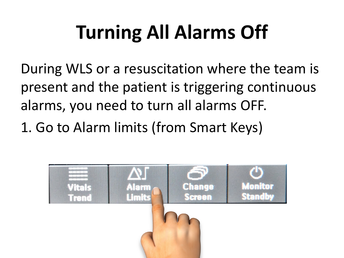# **Turning All Alarms Off**

During WLS or a resuscitation where the team is present and the patient is triggering continuous alarms, you need to turn all alarms OFF.

1. Go to Alarm limits (from Smart Keys)

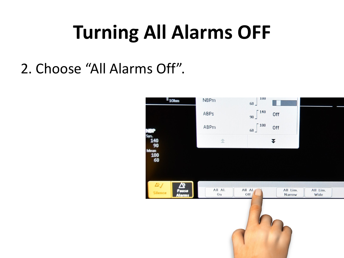### **Turning All Alarms OFF**

2. Choose "All Alarms Off".